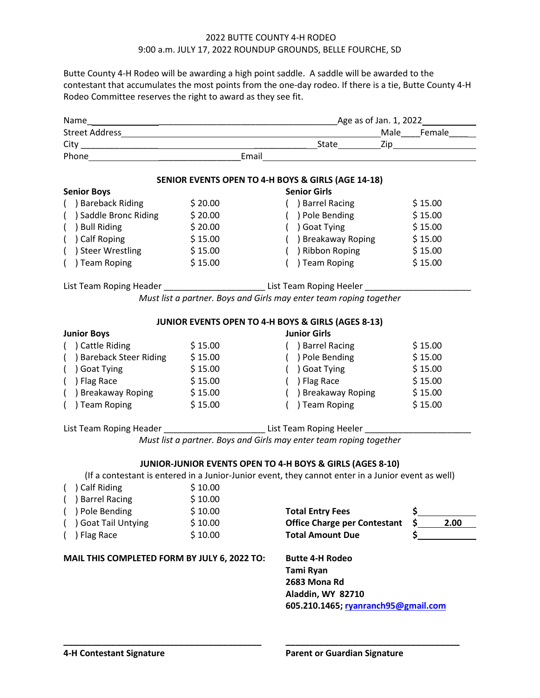## 2022 BUTTE COUNTY 4-H RODEO 9:00 a.m. JULY 17, 2022 ROUNDUP GROUNDS, BELLE FOURCHE, SD

Butte County 4-H Rodeo will be awarding a high point saddle. A saddle will be awarded to the contestant that accumulates the most points from the one-day rodeo. If there is a tie, Butte County 4-H Rodeo Committee reserves the right to award as they see fit.

|                                                                                                                                                                 |         |                                                                                        | $\begin{picture}(25,10) \put(0,0){\line(1,0){10}} \put(15,0){\line(1,0){10}} \put(15,0){\line(1,0){10}} \put(15,0){\line(1,0){10}} \put(15,0){\line(1,0){10}} \put(15,0){\line(1,0){10}} \put(15,0){\line(1,0){10}} \put(15,0){\line(1,0){10}} \put(15,0){\line(1,0){10}} \put(15,0){\line(1,0){10}} \put(15,0){\line(1,0){10}} \put(15,0){\line(1$ |  |  |
|-----------------------------------------------------------------------------------------------------------------------------------------------------------------|---------|----------------------------------------------------------------------------------------|-----------------------------------------------------------------------------------------------------------------------------------------------------------------------------------------------------------------------------------------------------------------------------------------------------------------------------------------------------|--|--|
|                                                                                                                                                                 |         |                                                                                        |                                                                                                                                                                                                                                                                                                                                                     |  |  |
|                                                                                                                                                                 |         |                                                                                        |                                                                                                                                                                                                                                                                                                                                                     |  |  |
|                                                                                                                                                                 |         | SENIOR EVENTS OPEN TO 4-H BOYS & GIRLS (AGE 14-18)                                     |                                                                                                                                                                                                                                                                                                                                                     |  |  |
| <b>Senior Boys</b>                                                                                                                                              |         | <b>Senior Girls</b>                                                                    |                                                                                                                                                                                                                                                                                                                                                     |  |  |
| () Bareback Riding \$20.00                                                                                                                                      |         | ( ) Barrel Racing                                                                      | \$15.00                                                                                                                                                                                                                                                                                                                                             |  |  |
| () Saddle Bronc Riding \$20.00                                                                                                                                  |         | () Pole Bending \$15.00                                                                |                                                                                                                                                                                                                                                                                                                                                     |  |  |
| ( ) Bull Riding                                                                                                                                                 | \$20.00 | ( ) Goat Tying<br>() Goat Tying \$15.00<br>() Breakaway Roping \$15.00                 | \$15.00                                                                                                                                                                                                                                                                                                                                             |  |  |
| ( ) Calf Roping                                                                                                                                                 | \$15.00 |                                                                                        |                                                                                                                                                                                                                                                                                                                                                     |  |  |
| () Steer Wrestling \$15.00                                                                                                                                      |         | () Ribbon Roping \$15.00                                                               |                                                                                                                                                                                                                                                                                                                                                     |  |  |
| ( ) Team Roping                                                                                                                                                 | \$15.00 | ( ) Team Roping                                                                        | \$15.00                                                                                                                                                                                                                                                                                                                                             |  |  |
|                                                                                                                                                                 |         | List Team Roping Header ____________________________List Team Roping Heeler __________ |                                                                                                                                                                                                                                                                                                                                                     |  |  |
|                                                                                                                                                                 |         | Must list a partner. Boys and Girls may enter team roping together                     |                                                                                                                                                                                                                                                                                                                                                     |  |  |
|                                                                                                                                                                 |         |                                                                                        |                                                                                                                                                                                                                                                                                                                                                     |  |  |
| JUNIOR EVENTS OPEN TO 4-H BOYS & GIRLS (AGES 8-13)                                                                                                              |         |                                                                                        |                                                                                                                                                                                                                                                                                                                                                     |  |  |
| <b>Junior Boys</b>                                                                                                                                              |         | <b>Junior Girls</b>                                                                    |                                                                                                                                                                                                                                                                                                                                                     |  |  |
| ( ) Cattle Riding                                                                                                                                               | \$15.00 | ( ) Barrel Racing                                                                      | \$15.00                                                                                                                                                                                                                                                                                                                                             |  |  |
| () Bareback Steer Riding \$15.00                                                                                                                                |         | () Pole Bending \$15.00                                                                |                                                                                                                                                                                                                                                                                                                                                     |  |  |
| \$15.00<br>( ) Goat Tying                                                                                                                                       |         | ( ) Goat Tying                                                                         | \$15.00                                                                                                                                                                                                                                                                                                                                             |  |  |
| ( ) Flag Race                                                                                                                                                   | \$15.00 | ( ) Flag Race                                                                          | \$15.00                                                                                                                                                                                                                                                                                                                                             |  |  |
| () Breakaway Roping \$15.00                                                                                                                                     |         | () Breakaway Roping \$15.00                                                            |                                                                                                                                                                                                                                                                                                                                                     |  |  |
| ( ) Team Roping                                                                                                                                                 | \$15.00 | () Team Roping                                                                         | \$15.00                                                                                                                                                                                                                                                                                                                                             |  |  |
| List Team Roping Header _______________________________List Team Roping Heeler _____________________                                                            |         |                                                                                        |                                                                                                                                                                                                                                                                                                                                                     |  |  |
|                                                                                                                                                                 |         | Must list a partner. Boys and Girls may enter team roping together                     |                                                                                                                                                                                                                                                                                                                                                     |  |  |
|                                                                                                                                                                 |         |                                                                                        |                                                                                                                                                                                                                                                                                                                                                     |  |  |
| JUNIOR-JUNIOR EVENTS OPEN TO 4-H BOYS & GIRLS (AGES 8-10)<br>(If a contestant is entered in a Junior-Junior event, they cannot enter in a Junior event as well) |         |                                                                                        |                                                                                                                                                                                                                                                                                                                                                     |  |  |
| ( ) Calf Riding                                                                                                                                                 | \$10.00 |                                                                                        |                                                                                                                                                                                                                                                                                                                                                     |  |  |
| () Barrel Racing \$10.00                                                                                                                                        |         |                                                                                        |                                                                                                                                                                                                                                                                                                                                                     |  |  |
| ) Pole Bending                                                                                                                                                  | \$10.00 | <b>Total Entry Fees</b>                                                                | \$.                                                                                                                                                                                                                                                                                                                                                 |  |  |
| Goat Tail Untying                                                                                                                                               | \$10.00 | <b>Office Charge per Contestant</b>                                                    | \$<br>2.00                                                                                                                                                                                                                                                                                                                                          |  |  |
| ) Flag Race                                                                                                                                                     | \$10.00 | <b>Total Amount Due</b>                                                                | \$                                                                                                                                                                                                                                                                                                                                                  |  |  |
|                                                                                                                                                                 |         |                                                                                        |                                                                                                                                                                                                                                                                                                                                                     |  |  |
| MAIL THIS COMPLETED FORM BY JULY 6, 2022 TO:                                                                                                                    |         | <b>Butte 4-H Rodeo</b>                                                                 |                                                                                                                                                                                                                                                                                                                                                     |  |  |
|                                                                                                                                                                 |         | Tami Ryan                                                                              |                                                                                                                                                                                                                                                                                                                                                     |  |  |
|                                                                                                                                                                 |         | 2683 Mona Rd                                                                           |                                                                                                                                                                                                                                                                                                                                                     |  |  |
|                                                                                                                                                                 |         |                                                                                        | Aladdin, WY 82710                                                                                                                                                                                                                                                                                                                                   |  |  |
|                                                                                                                                                                 |         | 605.210.1465; ryanranch95@gmail.com                                                    |                                                                                                                                                                                                                                                                                                                                                     |  |  |
|                                                                                                                                                                 |         |                                                                                        |                                                                                                                                                                                                                                                                                                                                                     |  |  |

**\_\_\_\_\_\_\_\_\_\_\_\_\_\_\_\_\_\_\_\_\_\_\_\_\_\_\_\_\_\_\_\_\_\_\_\_\_\_\_\_\_ \_\_\_\_\_\_\_\_\_\_\_\_\_\_\_\_\_\_\_\_\_\_\_\_\_\_\_\_\_\_\_\_\_\_\_\_**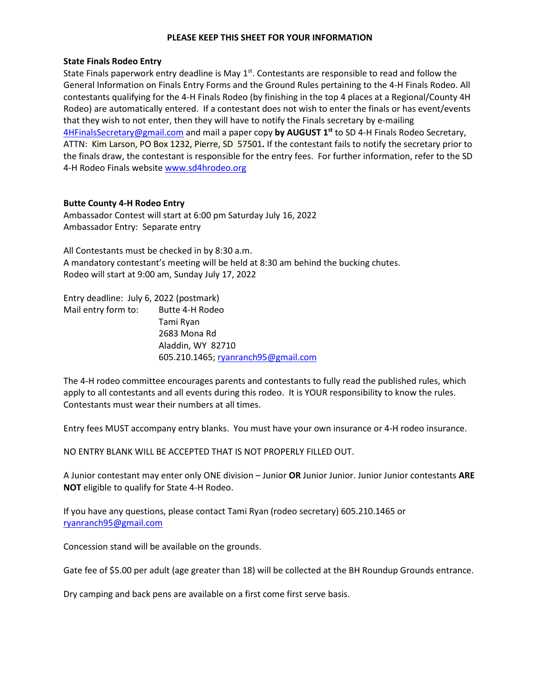### **PLEASE KEEP THIS SHEET FOR YOUR INFORMATION**

### **State Finals Rodeo Entry**

State Finals paperwork entry deadline is May  $1<sup>st</sup>$ . Contestants are responsible to read and follow the General Information on Finals Entry Forms and the Ground Rules pertaining to the 4-H Finals Rodeo. All contestants qualifying for the 4-H Finals Rodeo (by finishing in the top 4 places at a Regional/County 4H Rodeo) are automatically entered. If a contestant does not wish to enter the finals or has event/events that they wish to not enter, then they will have to notify the Finals secretary by e-mailing [4HFinalsSecretary@gmail.com](mailto:4HFinalsSecretary@gmail.com) and mail a paper copy **by AUGUST 1st** to SD 4-H Finals Rodeo Secretary, ATTN: Kim Larson, PO Box 1232, Pierre, SD 57501**.** If the contestant fails to notify the secretary prior to the finals draw, the contestant is responsible for the entry fees. For further information, refer to the SD 4-H Rodeo Finals website www.sd4hrodeo.org

# **Butte County 4-H Rodeo Entry**

Ambassador Contest will start at 6:00 pm Saturday July 16, 2022 Ambassador Entry: Separate entry

All Contestants must be checked in by 8:30 a.m. A mandatory contestant's meeting will be held at 8:30 am behind the bucking chutes. Rodeo will start at 9:00 am, Sunday July 17, 2022

Entry deadline: July 6, 2022 (postmark) Mail entry form to: Butte 4-H Rodeo Tami Ryan 2683 Mona Rd Aladdin, WY 82710 605.210.1465[; ryanranch95@gmail.com](mailto:ryanranch95@gmail.com) 

The 4-H rodeo committee encourages parents and contestants to fully read the published rules, which apply to all contestants and all events during this rodeo. It is YOUR responsibility to know the rules. Contestants must wear their numbers at all times.

Entry fees MUST accompany entry blanks. You must have your own insurance or 4-H rodeo insurance.

NO ENTRY BLANK WILL BE ACCEPTED THAT IS NOT PROPERLY FILLED OUT.

A Junior contestant may enter only ONE division – Junior **OR** Junior Junior. Junior Junior contestants **ARE NOT** eligible to qualify for State 4-H Rodeo.

If you have any questions, please contact Tami Ryan (rodeo secretary) 605.210.1465 or [ryanranch95@gmail.com](mailto:ryanranch95@gmail.com) 

Concession stand will be available on the grounds.

Gate fee of \$5.00 per adult (age greater than 18) will be collected at the BH Roundup Grounds entrance.

Dry camping and back pens are available on a first come first serve basis.